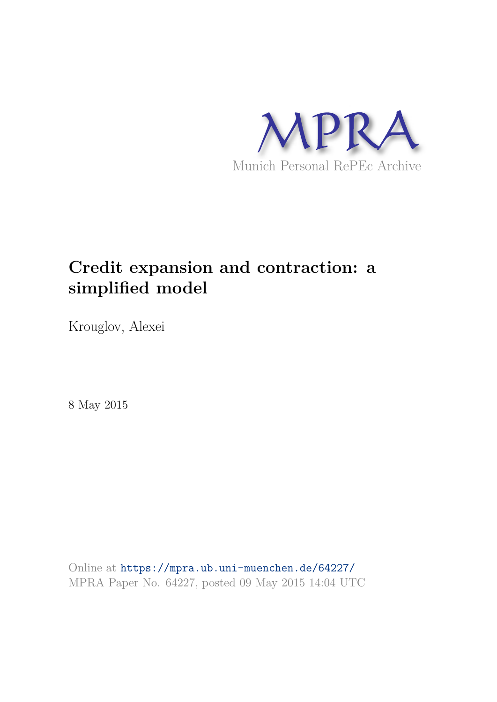

# **Credit expansion and contraction: a simplified model**

Krouglov, Alexei

8 May 2015

Online at https://mpra.ub.uni-muenchen.de/64227/ MPRA Paper No. 64227, posted 09 May 2015 14:04 UTC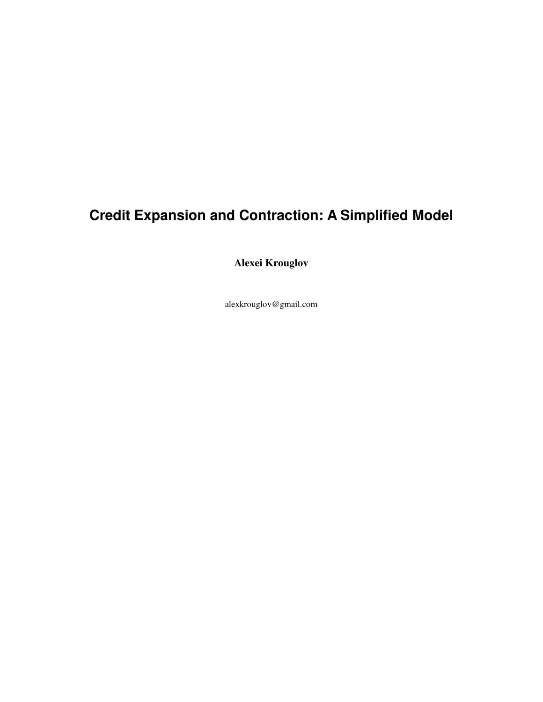## **Credit Expansion and Contraction: A Simplified Model**

**Alexei Krouglov** 

alexkrouglov@gmail.com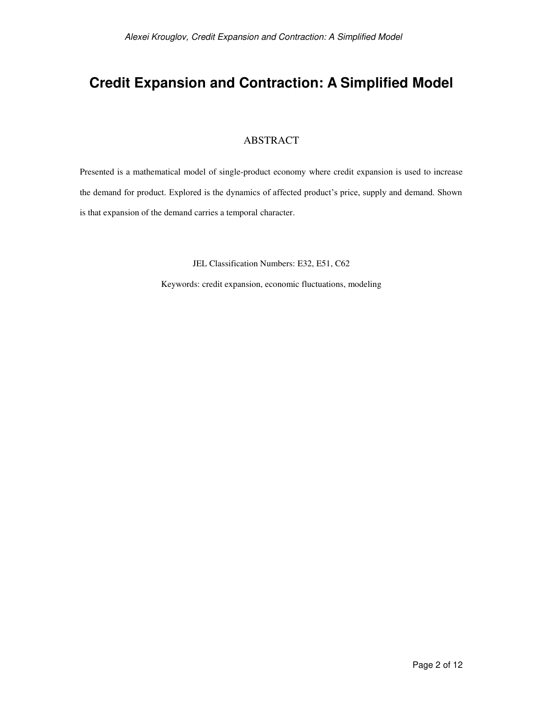## **Credit Expansion and Contraction: A Simplified Model**

#### ABSTRACT

Presented is a mathematical model of single-product economy where credit expansion is used to increase the demand for product. Explored is the dynamics of affected product's price, supply and demand. Shown is that expansion of the demand carries a temporal character.

JEL Classification Numbers: E32, E51, C62

Keywords: credit expansion, economic fluctuations, modeling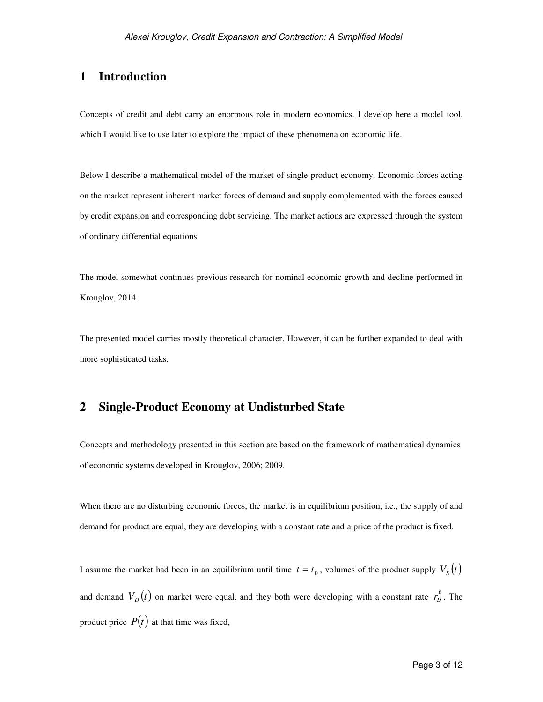#### **1 Introduction**

Concepts of credit and debt carry an enormous role in modern economics. I develop here a model tool, which I would like to use later to explore the impact of these phenomena on economic life.

Below I describe a mathematical model of the market of single-product economy. Economic forces acting on the market represent inherent market forces of demand and supply complemented with the forces caused by credit expansion and corresponding debt servicing. The market actions are expressed through the system of ordinary differential equations.

The model somewhat continues previous research for nominal economic growth and decline performed in Krouglov, 2014.

The presented model carries mostly theoretical character. However, it can be further expanded to deal with more sophisticated tasks.

### **2 Single-Product Economy at Undisturbed State**

Concepts and methodology presented in this section are based on the framework of mathematical dynamics of economic systems developed in Krouglov, 2006; 2009.

When there are no disturbing economic forces, the market is in equilibrium position, i.e., the supply of and demand for product are equal, they are developing with a constant rate and a price of the product is fixed.

I assume the market had been in an equilibrium until time  $t = t_0$ , volumes of the product supply  $V_s(t)$ and demand  $V_D(t)$  on market were equal, and they both were developing with a constant rate  $r_D^0$  $r_D^0$ . The product price  $P(t)$  at that time was fixed,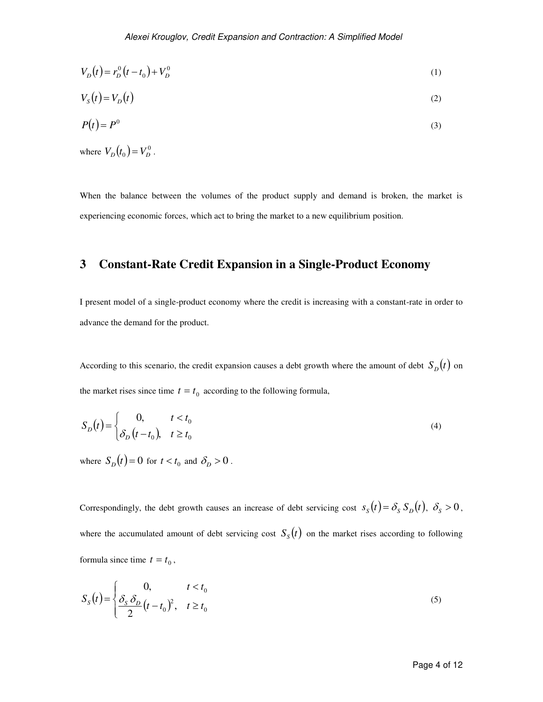$$
V_D(t) = r_D^0(t - t_0) + V_D^0
$$
 (1)

$$
V_s(t) = V_D(t) \tag{2}
$$

$$
P(t) = P^0 \tag{3}
$$

where  $V_D(t_0) = V_D^0$ .

When the balance between the volumes of the product supply and demand is broken, the market is experiencing economic forces, which act to bring the market to a new equilibrium position.

#### **3 Constant-Rate Credit Expansion in a Single-Product Economy**

I present model of a single-product economy where the credit is increasing with a constant-rate in order to advance the demand for the product.

According to this scenario, the credit expansion causes a debt growth where the amount of debt  $S_D(t)$  on the market rises since time  $t = t_0$  according to the following formula,

$$
S_D(t) = \begin{cases} 0, & t < t_0 \\ \delta_D(t - t_0), & t \ge t_0 \end{cases} \tag{4}
$$

where  $S_D(t) = 0$  for  $t < t_0$  and  $\delta_D > 0$ .

Correspondingly, the debt growth causes an increase of debt servicing cost  $s_s(t) = \delta_s S_p(t)$ ,  $\delta_s > 0$ , where the accumulated amount of debt servicing cost  $S_{S}(t)$  on the market rises according to following formula since time  $t = t_0$ ,

$$
S_{S}(t) = \begin{cases} 0, & t < t_0 \\ \frac{\delta_{S} \delta_{D}}{2} (t - t_0)^2, & t \ge t_0 \end{cases} \tag{5}
$$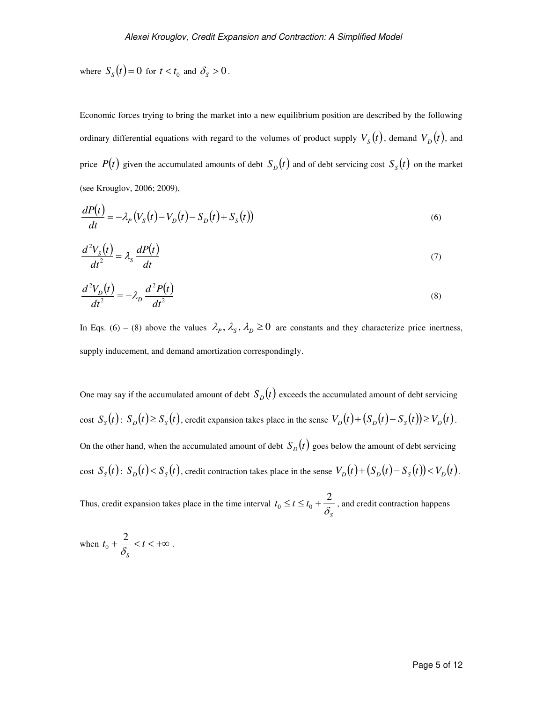where  $S_s(t) = 0$  for  $t < t_0$  and  $\delta_s > 0$ .

Economic forces trying to bring the market into a new equilibrium position are described by the following ordinary differential equations with regard to the volumes of product supply  $V_{\rm s}(t)$ , demand  $V_{\rm p}(t)$ , and price  $P(t)$  given the accumulated amounts of debt  $S_D(t)$  and of debt servicing cost  $S_S(t)$  on the market (see Krouglov, 2006; 2009),

$$
\frac{dP(t)}{dt} = -\lambda_P \left( V_S(t) - V_D(t) - S_D(t) + S_S(t) \right) \tag{6}
$$

$$
\frac{d^2V_s(t)}{dt^2} = \lambda_s \frac{dP(t)}{dt}
$$
\n(7)

$$
\frac{d^2V_D(t)}{dt^2} = -\lambda_D \frac{d^2P(t)}{dt^2}
$$
\n(8)

In Eqs. (6) – (8) above the values  $\lambda_p$ ,  $\lambda_s$ ,  $\lambda_p \ge 0$  are constants and they characterize price inertness, supply inducement, and demand amortization correspondingly.

One may say if the accumulated amount of debt  $S_D(t)$  exceeds the accumulated amount of debt servicing cost  $S_s(t)$ :  $S_p(t) \ge S_s(t)$ , credit expansion takes place in the sense  $V_p(t) + (S_p(t) - S_s(t)) \ge V_p(t)$ . On the other hand, when the accumulated amount of debt  $S_D(t)$  goes below the amount of debt servicing cost  $S_s(t)$ :  $S_p(t) < S_s(t)$ , credit contraction takes place in the sense  $V_p(t) + (S_p(t) - S_s(t)) < V_p(t)$ .

Thus, credit expansion takes place in the time interval *S*  $t_0 \leq t \leq t_0 + \frac{2}{\delta}$  $t_0 \le t \le t_0 + \frac{2}{s}$ , and credit contraction happens

when 
$$
t_0 + \frac{2}{\delta_s} < t < +\infty
$$
.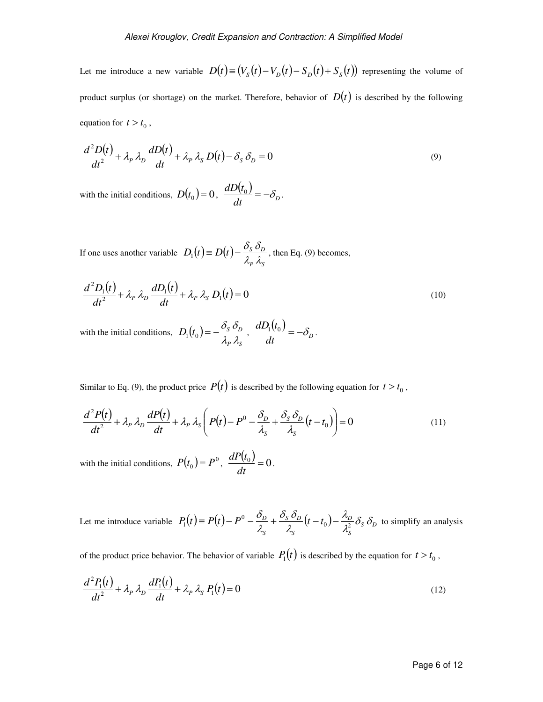Let me introduce a new variable  $D(t) \equiv (V_s(t) - V_p(t) - S_p(t) + S_s(t))$  representing the volume of product surplus (or shortage) on the market. Therefore, behavior of  $D(t)$  is described by the following equation for  $t > t_0$ ,

$$
\frac{d^2D(t)}{dt^2} + \lambda_P \lambda_D \frac{dD(t)}{dt} + \lambda_P \lambda_S D(t) - \delta_S \delta_D = 0
$$
\n(9)

with the initial conditions,  $D(t_0) = 0$ ,  $\frac{dD(t_0)}{dt}$ .  $dt$ <sup>–</sup> $U_D$ </sup>  $\frac{dD(t_0)}{dt} = -\delta_D.$ 

If one uses another variable  $D_1(t) \equiv D(t)$ -*P S*  $D_1(t) \equiv D(t) - \frac{\sigma_S \sigma_D}{\lambda_n \lambda_c}$  $D_1(t) = D(t) - \frac{\delta_s \delta_D}{2}$ , then Eq. (9) becomes,

$$
\frac{d^2D_1(t)}{dt^2} + \lambda_P \lambda_D \frac{dD_1(t)}{dt} + \lambda_P \lambda_S D_1(t) = 0
$$
\n(10)

with the initial conditions,  $D_1(t_0)$ *P S*  $D_1(t_0) = -\frac{\partial_S}{\partial_L \partial_R}$  $\Theta_1(t_0) = -\frac{\delta_S \delta_D}{1 - \delta_S t_0}$ ,  $(t_{0})^{-}$  $dt$ <sup>-- $U_D$ </sup>  $\frac{dD_1(t_0)}{dt} = -\delta_n$ .

Similar to Eq. (9), the product price  $P(t)$  is described by the following equation for  $t > t_0$ ,

$$
\frac{d^2P(t)}{dt^2} + \lambda_P \lambda_D \frac{dP(t)}{dt} + \lambda_P \lambda_S \left( P(t) - P^0 - \frac{\delta_D}{\lambda_S} + \frac{\delta_S \delta_D}{\lambda_S} (t - t_0) \right) = 0 \tag{11}
$$

with the initial conditions,  $P(t_0) = P^0$ ,  $\frac{dP(t_0)}{dt} = 0$ *dt*  $\frac{dP(t_0)}{dt} = 0$ .

Let me introduce variable  $P_1(t) = P(t) - P^0 - \frac{\delta_D}{\lambda} + \frac{\delta_S \delta_D}{\lambda} (t - t_0) - \frac{\lambda_D}{\lambda^2} \delta_S \delta_D$ *S D S S D S*  $P_1(t) = P(t) - P^0 - \frac{\sigma_B}{\lambda_c} + \frac{\sigma_S \sigma_D}{\lambda_c} (t - t_0) - \frac{\mu_B}{\lambda_c^2} \delta_S \delta_I$ λ. λ.  $\delta$ .  $\delta$ λ. δ 0  $\frac{1}{2^2}$  $P_1(t) = P(t) - P^0 - \frac{\sigma_D}{2} + \frac{\sigma_S \sigma_D}{2} (t - t_0) - \frac{\mu_D}{2} \delta_S \delta_D$  to simplify an analysis

of the product price behavior. The behavior of variable  $P_1(t)$  is described by the equation for  $t > t_0$ ,

$$
\frac{d^2P_1(t)}{dt^2} + \lambda_P \lambda_D \frac{dP_1(t)}{dt} + \lambda_P \lambda_S P_1(t) = 0
$$
\n(12)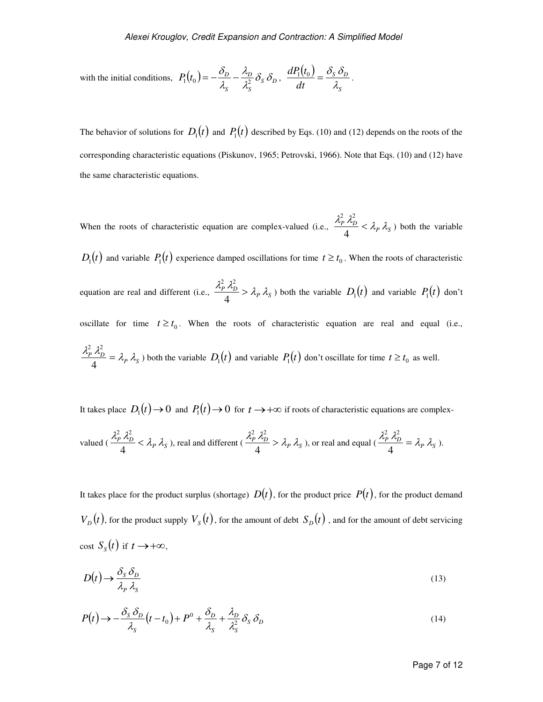with the initial conditions, 
$$
P_1(t_0) = -\frac{\delta_D}{\lambda_s} - \frac{\lambda_D}{\lambda_s^2} \delta_S \delta_D
$$
,  $\frac{dP_1(t_0)}{dt} = \frac{\delta_S \delta_D}{\lambda_s}$ .

The behavior of solutions for  $D_1(t)$  and  $P_1(t)$  described by Eqs. (10) and (12) depends on the roots of the corresponding characteristic equations (Piskunov, 1965; Petrovski, 1966). Note that Eqs. (10) and (12) have the same characteristic equations.

When the roots of characteristic equation are complex-valued (i.e.,  $\frac{\lambda_P^2 \lambda_D^2}{4} < \lambda_P \lambda_S$ 4 2  $2^2$ ) both the variable  $D_1(t)$  and variable  $P_1(t)$  experience damped oscillations for time  $t \ge t_0$ . When the roots of characteristic equation are real and different (i.e.,  $\frac{\lambda_P^2 \lambda_D^2}{4} > \lambda_P \lambda_S$ 4  $\frac{d^2 p}{dt^2}$   $\lambda_p^2$   $\lambda_p$   $\lambda_s$  both the variable  $D_1(t)$  and variable  $P_1(t)$  don't oscillate for time  $t \ge t_0$ . When the roots of characteristic equation are real and equal (i.e.,  $\frac{\lambda_P^2}{\lambda_D^2} \frac{\lambda_D^2}{\lambda_P} = \lambda_P \lambda_S$ 4  $\frac{d^2 p}{dt^2} \lambda_p^2 = \lambda_p \lambda_s$ ) both the variable  $D_1(t)$  and variable  $P_1(t)$  don't oscillate for time  $t \ge t_0$  as well.

It takes place  $D_1(t) \to 0$  and  $P_1(t) \to 0$  for  $t \to +\infty$  if roots of characteristic equations are complex-

valued 
$$
(\frac{\lambda_P^2 \lambda_D^2}{4} < \lambda_P \lambda_S)
$$
, real and different  $(\frac{\lambda_P^2 \lambda_D^2}{4} > \lambda_P \lambda_S)$ , or real and equal  $(\frac{\lambda_P^2 \lambda_D^2}{4} = \lambda_P \lambda_S)$ .

It takes place for the product surplus (shortage)  $D(t)$ , for the product price  $P(t)$ , for the product demand  $V_D(t)$ , for the product supply  $V_S(t)$ , for the amount of debt  $S_D(t)$ , and for the amount of debt servicing cost  $S_s(t)$  if  $t \to +\infty$ ,

$$
D(t) \to \frac{\delta_s \,\delta_D}{\lambda_P \,\lambda_s} \tag{13}
$$

$$
P(t) \rightarrow -\frac{\delta_s \delta_D}{\lambda_s} (t - t_0) + P^0 + \frac{\delta_D}{\lambda_s} + \frac{\lambda_D}{\lambda_s^2} \delta_s \delta_D \tag{14}
$$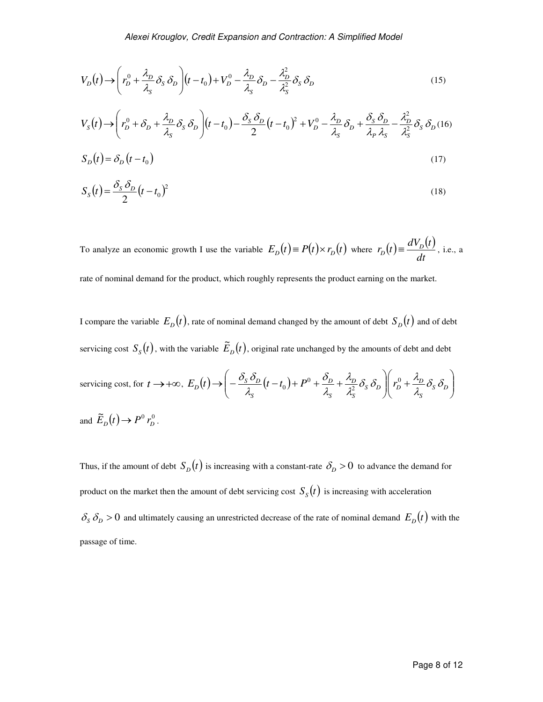$$
V_D(t) \to \left(r_D^0 + \frac{\lambda_D}{\lambda_S} \delta_S \delta_D\right) (t - t_0) + V_D^0 - \frac{\lambda_D}{\lambda_S} \delta_D - \frac{\lambda_D^2}{\lambda_S^2} \delta_S \delta_D \tag{15}
$$

$$
V_{S}(t) \rightarrow \left(r_{D}^{0} + \delta_{D} + \frac{\lambda_{D}}{\lambda_{S}} \delta_{S} \delta_{D}\right) (t - t_{0}) - \frac{\delta_{S} \delta_{D}}{2} (t - t_{0})^{2} + V_{D}^{0} - \frac{\lambda_{D}}{\lambda_{S}} \delta_{D} + \frac{\delta_{S} \delta_{D}}{\lambda_{P} \lambda_{S}} - \frac{\lambda_{D}^{2}}{\lambda_{S}^{2}} \delta_{S} \delta_{D} (16)
$$

$$
S_D(t) = \delta_D(t - t_0) \tag{17}
$$

$$
S_S(t) = \frac{\delta_S \delta_D}{2} (t - t_0)^2
$$
\n(18)

To analyze an economic growth I use the variable  $E_D(t) \equiv P(t) \times r_D(t)$  where  $r_D(t) \equiv \frac{dV_D(t)}{dt}$ , *dt*  $r_D(t) \equiv \frac{dV_D(t)}{dt}$ , i.e., a

rate of nominal demand for the product, which roughly represents the product earning on the market.

I compare the variable  $E_D(t)$ , rate of nominal demand changed by the amount of debt  $S_D(t)$  and of debt servicing cost  $S_s(t)$ , with the variable  $\tilde{E}_b(t)$ , original rate unchanged by the amounts of debt and debt

serving cost, for 
$$
t \to +\infty
$$
,  $E_D(t) \to \left(-\frac{\delta_S \delta_D}{\lambda_S}(t - t_0) + P^0 + \frac{\delta_D}{\lambda_S} + \frac{\lambda_D}{\lambda_S^2} \delta_S \delta_D\right)\left(r_D^0 + \frac{\lambda_D}{\lambda_S} \delta_S \delta_D\right)$   
and  $\tilde{E}_D(t) \to P^0 r_D^0$ .

Thus, if the amount of debt  $S_D(t)$  is increasing with a constant-rate  $\delta_D > 0$  to advance the demand for product on the market then the amount of debt servicing cost  $S_{S}(t)$  is increasing with acceleration  $\delta_s \delta_p > 0$  and ultimately causing an unrestricted decrease of the rate of nominal demand  $E_p(t)$  with the passage of time.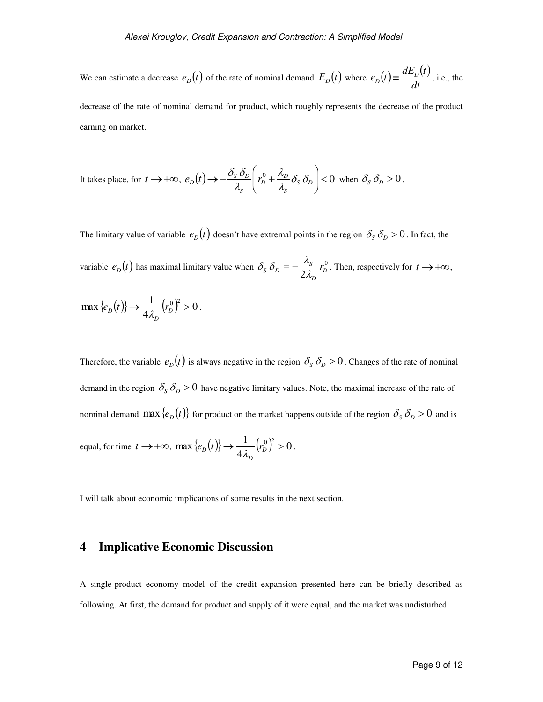We can estimate a decrease  $e_D(t)$  of the rate of nominal demand  $E_D(t)$  where  $e_D(t) \equiv \frac{dE_D(t)}{dt}$ , *dt*  $e_D(t) \equiv \frac{dE_D(t)}{dt}$ , i.e., the

decrease of the rate of nominal demand for product, which roughly represents the decrease of the product earning on market.

It takes place, for 
$$
t \to +\infty
$$
,  $e_D(t) \to -\frac{\delta_S \delta_D}{\lambda_S} \left( r_D^0 + \frac{\lambda_D}{\lambda_S} \delta_S \delta_D \right) < 0$  when  $\delta_S \delta_D > 0$ .

The limitary value of variable  $e_D(t)$  doesn't have extremal points in the region  $\delta_S \delta_D > 0$ . In fact, the variable  $e_D(t)$  has maximal limitary value when  $\delta_S \delta_D = -\frac{\lambda_S}{2} r_D^0$  $2\lambda_{D}^{I_{D}}$ *D*  $S_{\rm B}$   $\delta_{\rm D}$  =  $-\frac{\lambda_{\rm S}}{2\lambda_{\rm D}}$  *r*  $\delta_{s} \delta_{b} = -\frac{\lambda_{s}}{2a} r_{b}^{0}$ . Then, respectively for  $t \rightarrow +\infty$ ,

$$
\max \left\{ e_D(t) \right\} \to \frac{1}{4\lambda_D} \left( r_D^0 \right)^2 > 0 \, .
$$

Therefore, the variable  $e_D(t)$  is always negative in the region  $\delta_S \delta_D > 0$ . Changes of the rate of nominal demand in the region  $\delta_s \delta_p > 0$  have negative limitary values. Note, the maximal increase of the rate of nominal demand  $\max \{e_D(t)\}\$  for product on the market happens outside of the region  $\delta_S \delta_D > 0$  and is equal, for time  $t \to +\infty$ ,  $\max\{e_D(t)\}\to \frac{1}{4\pi\epsilon}(r_D^0)^2 > 0$ 4  $\max {\lbrace e_{D}(t) \rbrace} \rightarrow \frac{1}{4.3} (r_{D}^{0})^{2} >$ *D*  $\langle e_D(t) \rangle \rightarrow \frac{1}{4\lambda_D} \langle r_D^0 \rangle^2 > 0$ .

I will talk about economic implications of some results in the next section.

#### **4 Implicative Economic Discussion**

A single-product economy model of the credit expansion presented here can be briefly described as following. At first, the demand for product and supply of it were equal, and the market was undisturbed.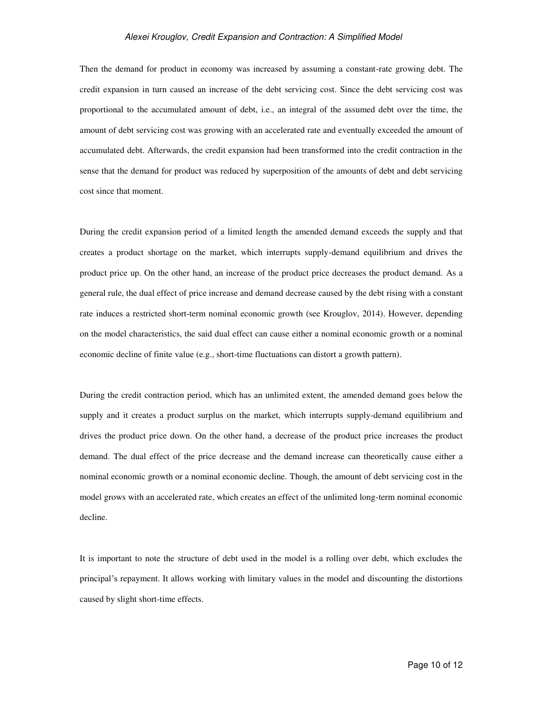#### *Alexei Krouglov, Credit Expansion and Contraction: A Simplified Model*

Then the demand for product in economy was increased by assuming a constant-rate growing debt. The credit expansion in turn caused an increase of the debt servicing cost. Since the debt servicing cost was proportional to the accumulated amount of debt, i.e., an integral of the assumed debt over the time, the amount of debt servicing cost was growing with an accelerated rate and eventually exceeded the amount of accumulated debt. Afterwards, the credit expansion had been transformed into the credit contraction in the sense that the demand for product was reduced by superposition of the amounts of debt and debt servicing cost since that moment.

During the credit expansion period of a limited length the amended demand exceeds the supply and that creates a product shortage on the market, which interrupts supply-demand equilibrium and drives the product price up. On the other hand, an increase of the product price decreases the product demand. As a general rule, the dual effect of price increase and demand decrease caused by the debt rising with a constant rate induces a restricted short-term nominal economic growth (see Krouglov, 2014). However, depending on the model characteristics, the said dual effect can cause either a nominal economic growth or a nominal economic decline of finite value (e.g., short-time fluctuations can distort a growth pattern).

During the credit contraction period, which has an unlimited extent, the amended demand goes below the supply and it creates a product surplus on the market, which interrupts supply-demand equilibrium and drives the product price down. On the other hand, a decrease of the product price increases the product demand. The dual effect of the price decrease and the demand increase can theoretically cause either a nominal economic growth or a nominal economic decline. Though, the amount of debt servicing cost in the model grows with an accelerated rate, which creates an effect of the unlimited long-term nominal economic decline.

It is important to note the structure of debt used in the model is a rolling over debt, which excludes the principal's repayment. It allows working with limitary values in the model and discounting the distortions caused by slight short-time effects.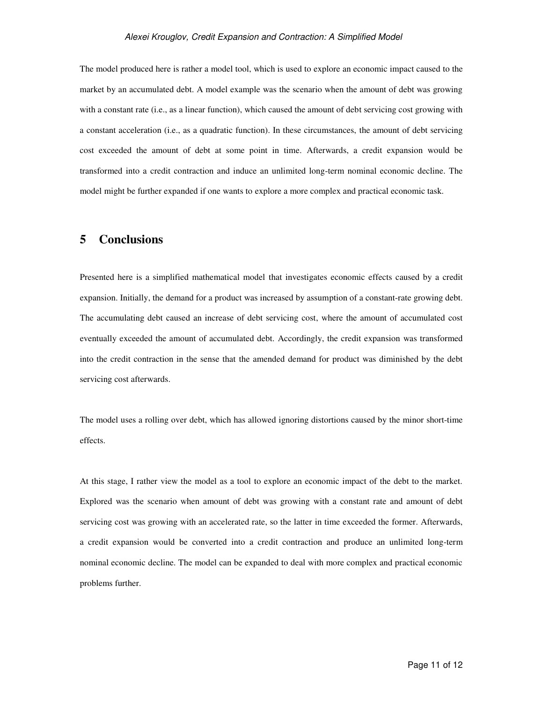#### *Alexei Krouglov, Credit Expansion and Contraction: A Simplified Model*

The model produced here is rather a model tool, which is used to explore an economic impact caused to the market by an accumulated debt. A model example was the scenario when the amount of debt was growing with a constant rate (i.e., as a linear function), which caused the amount of debt servicing cost growing with a constant acceleration (i.e., as a quadratic function). In these circumstances, the amount of debt servicing cost exceeded the amount of debt at some point in time. Afterwards, a credit expansion would be transformed into a credit contraction and induce an unlimited long-term nominal economic decline. The model might be further expanded if one wants to explore a more complex and practical economic task.

#### **5 Conclusions**

Presented here is a simplified mathematical model that investigates economic effects caused by a credit expansion. Initially, the demand for a product was increased by assumption of a constant-rate growing debt. The accumulating debt caused an increase of debt servicing cost, where the amount of accumulated cost eventually exceeded the amount of accumulated debt. Accordingly, the credit expansion was transformed into the credit contraction in the sense that the amended demand for product was diminished by the debt servicing cost afterwards.

The model uses a rolling over debt, which has allowed ignoring distortions caused by the minor short-time effects.

At this stage, I rather view the model as a tool to explore an economic impact of the debt to the market. Explored was the scenario when amount of debt was growing with a constant rate and amount of debt servicing cost was growing with an accelerated rate, so the latter in time exceeded the former. Afterwards, a credit expansion would be converted into a credit contraction and produce an unlimited long-term nominal economic decline. The model can be expanded to deal with more complex and practical economic problems further.